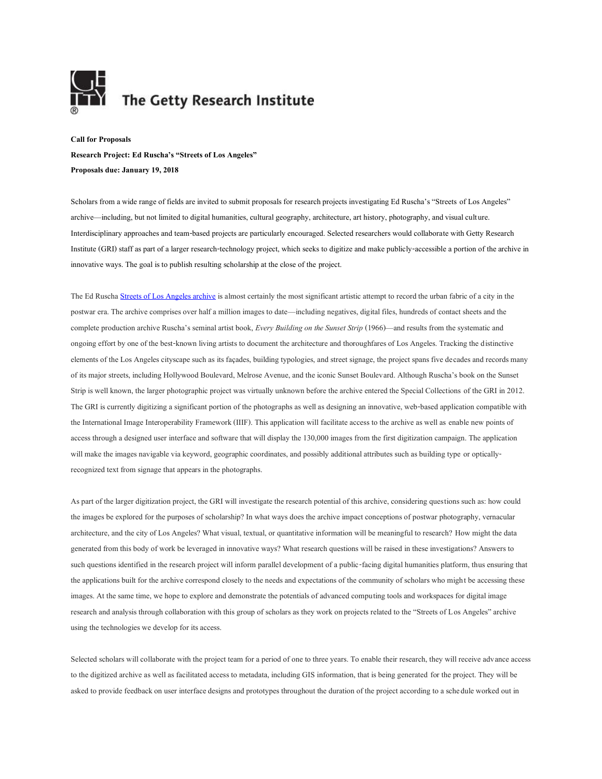

## The Getty Research Institute

**Call for Proposals Research Project: Ed Ruscha's "Streets of Los Angeles" Proposals due: January 19, 2018**

Scholars from a wide range of fields are invited to submit proposals for research projects investigating Ed Ruscha's "Streets of Los Angeles" archive—including, but not limited to digital humanities, cultural geography, architecture, art history, photography, and visual culture. Interdisciplinary approaches and team-based projects are particularly encouraged. Selected researchers would collaborate with Getty Research Institute (GRI) staff as part of a larger research-technology project, which seeks to digitize and make publicly-accessible a portion of the archive in innovative ways. The goal is to publish resulting scholarship at the close of the project.

The Ed Rusch[a Streets of Los Angeles archive](http://www.getty.edu/research/special_collections/notable/ruscha.html) is almost certainly the most significant artistic attempt to record the urban fabric of a city in the postwar era. The archive comprises over half a million images to date—including negatives, digital files, hundreds of contact sheets and the complete production archive Ruscha's seminal artist book, *Every Building on the Sunset Strip* (1966)—and results from the systematic and ongoing effort by one of the best-known living artists to document the architecture and thoroughfares of Los Angeles. Tracking the distinctive elements of the Los Angeles cityscape such as its façades, building typologies, and street signage, the project spans five decades and records many of its major streets, including Hollywood Boulevard, Melrose Avenue, and the iconic Sunset Boulevard. Although Ruscha's book on the Sunset Strip is well known, the larger photographic project was virtually unknown before the archive entered the Special Collections of the GRI in 2012. The GRI is currently digitizing a significant portion of the photographs as well as designing an innovative, web-based application compatible with the International Image Interoperability Framework (IIIF). This application will facilitate access to the archive as well as enable new points of access through a designed user interface and software that will display the 130,000 images from the first digitization campaign. The application will make the images navigable via keyword, geographic coordinates, and possibly additional attributes such as building type or opticallyrecognized text from signage that appears in the photographs.

As part of the larger digitization project, the GRI will investigate the research potential of this archive, considering questions such as: how could the images be explored for the purposes of scholarship? In what ways does the archive impact conceptions of postwar photography, vernacular architecture, and the city of Los Angeles? What visual, textual, or quantitative information will be meaningful to research? How might the data generated from this body of work be leveraged in innovative ways? What research questions will be raised in these investigations? Answers to such questions identified in the research project will inform parallel development of a public-facing digital humanities platform, thus ensuring that the applications built for the archive correspond closely to the needs and expectations of the community of scholars who might be accessing these images. At the same time, we hope to explore and demonstrate the potentials of advanced computing tools and workspaces for digital image research and analysis through collaboration with this group of scholars as they work on projects related to the "Streets of Los Angeles" archive using the technologies we develop for its access.

Selected scholars will collaborate with the project team for a period of one to three years. To enable their research, they will receive advance access to the digitized archive as well as facilitated access to metadata, including GIS information, that is being generated for the project. They will be asked to provide feedback on user interface designs and prototypes throughout the duration of the project according to a schedule worked out in